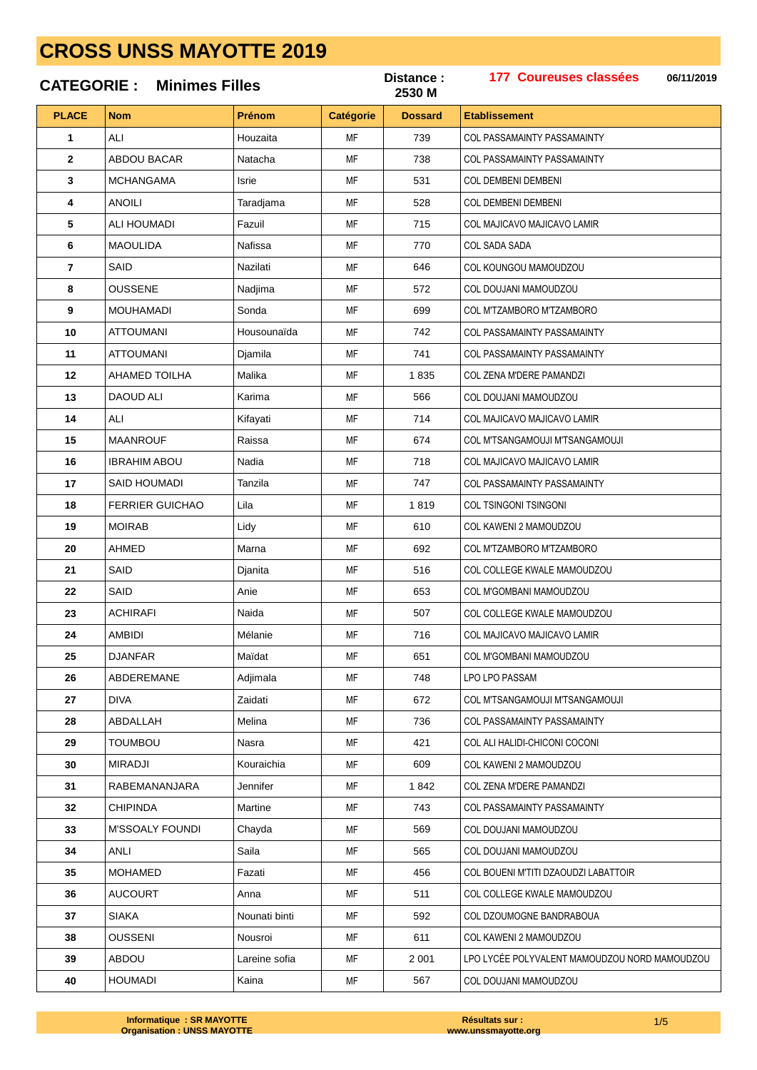### 177 Coureuses classées Distance: 06/11/2019 **Minimes Filles CATEGORIE:** 2530 M **PLACE** Prénom **Etablissement Nom** Catégorie **Dossard**  $\Delta$ l I Houzaita 730  $\overline{1}$ MF COL PASSAMAINTY PASSAMAINTY **ABDOU BACAR** 738  $\overline{2}$ Natacha MF **COL PASSAMAINTY PASSAMAINTY**  $\overline{3}$ **MCHANGAMA** Isrie MF 531 COL DEMBENI DEMBENI ANOIL I 4 Taradjama **MF** 528 COL DEMBENI DEMBENI 5 **ALI HOUMADI** Fazuil MF 715 COL MAJICAVO MAJICAVO LAMIR 6 **MAOULIDA** Nafissa **MF** 770 **COL SADA SADA** SAID Nazilati 646  $\overline{7}$ **MF** COL KOUNGOU MAMOUDZOU 8 **OUSSENE MF** COL DOUJANI MAMOUDZOU Nadjima 572  $\mathbf{q}$ **MOUHAMADI** Sonda **MF** 699 COL M'TZAMBORO M'TZAMBORO  $10$ **ATTOUMANI** Housounaïda **MF** 742 COL PASSAMAINTY PASSAMAINTY  $11$ **ATTOUMANI** Djamila **MF** 741 **COL PASSAMAINTY PASSAMAINTY**  $12$ **AHAMED TOILHA** Malika **MF** 1835 COL ZENA M'DERE PAMANDZI **DAOUD ALI**  $13$ MF COL DOUJANI MAMOUDZOU Karima 566  $14$ AI I Kifavati **MF** 714 COL MAJICAVO MAJICAVO LAMIR **MAANROUF MF** 674 15 Raissa COL M'TSANGAMOUJI M'TSANGAMOUJI 718 **IBRAHIM ABOU** 16 Nadia MF COL MAJICAVO MAJICAVO LAMIR  $17$ MF 747 COL PASSAMAINTY PASSAMAINTY SAID HOLIMADI Tanzila 18 **FERRIER GUICHAO** l ila **MF** 1819 COL TSINGONI TSINGONI 19 **MOIRAB** Lidy MF 610 COL KAWENI 2 MAMOUDZOU AHMED 20 Marna **MF** 692 COL M'TZAMBORO M'TZAMBORO  $2<sub>1</sub>$ SAID Djanita **MF** 516 COL COLLEGE KWALE MAMOUDZOU  $22$ SAID Anie MF 653 COL M'GOMBANI MAMOUDZOU 23 **ACHIRAFI** Naida MF 507 COL COLLEGE KWALE MAMOUDZOU **AMBIDI** Mélanie **MF** 716 COL MAJICAVO MAJICAVO LAMIR  $24$ 25 **DJANFAR** Maïdat **MF** 651 COL M'GOMBANI MAMOUDZOU **ABDEREMANE** 748 **LPO LPO PASSAM** 26 Adiimala MF  $27$ **DIVA** Zaidati **MF** 672 COL M'TSANGAMOUJI M'TSANGAMOUJI 28 ABDALLAH Melina **MF** 736 **COL PASSAMAINTY PASSAMAINTY** 29 **TOUMBOU MF** 421 COL ALLHALIDI-CHICONI COCONI Nasra  $30$ MIRAD.II Kouraichia **MF** 609 COL KAWENI 2 MAMOUDZOU  $31$ RABEMANANJARA MF 1842 COL ZENA M'DERE PAMANDZI Jennifer 32 **CHIPINDA** Martine MF 743 COL PASSAMAINTY PASSAMAINTY  $33$ M'SSOALY FOLINDI 569 COL DOLLIANI MAMOLIDZOLI Chavda MF  $34$ ANI I Saila MF 565 COL DOLLIANI MAMOUDZOU 35 **MOHAMED** Fazati MF 456 COL BOUENLM'TITI DZAOUDZLI ARATTOIR 36 ALICOLIRT Anna **MF** 511 COL COLLEGE KWALE MAMOUDZOU 37 **SIAKA** Nounati binti MF 592 COL DZOUMOGNE BANDRABOUA 38 **OUSSENI** Nousroi **MF** 611 COL KAWENI 2 MAMOUDZOU ABDOU 39 Lareine sofia **MF** 2 0 0 1 LPO LYCÉE POLYVALENT MAMOUDZOU NORD MAMOUDZOU 40 **HOUMADI MF** 567 COL DOUJANI MAMOUDZOU

Kaina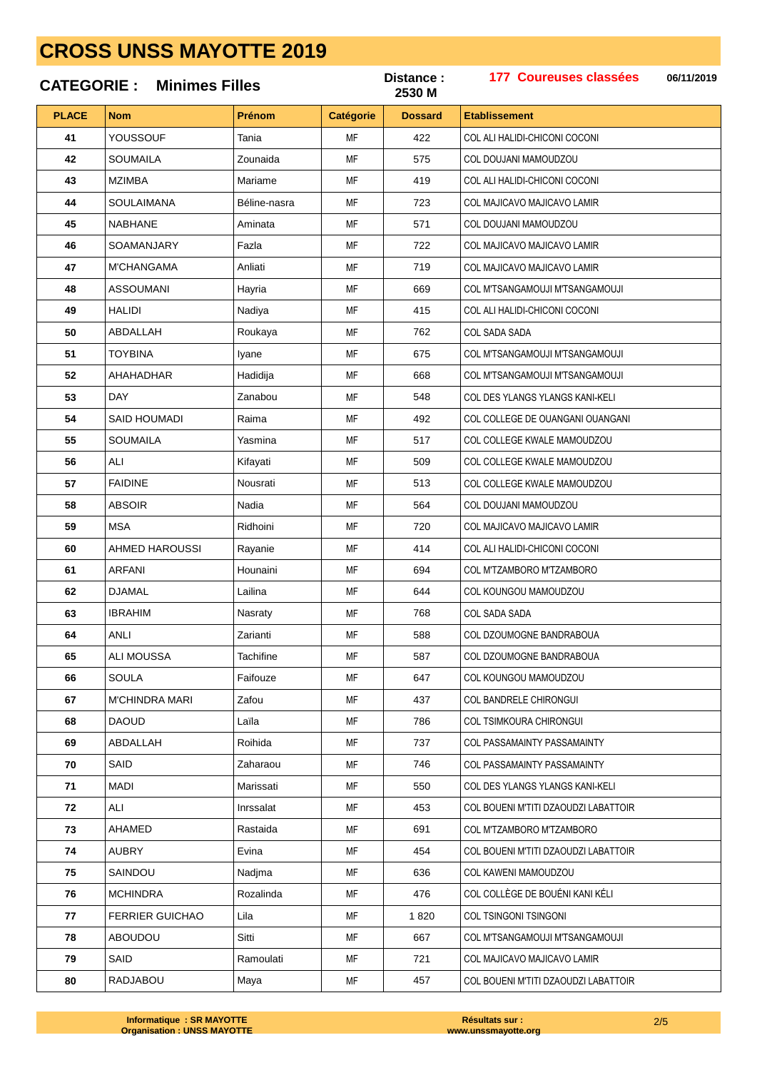|              | <b>CATEGORIE: Minimes Filles</b> |              |                  | Distance:<br>2530 M | 177 Coureuses classées<br>06/11/2019   |
|--------------|----------------------------------|--------------|------------------|---------------------|----------------------------------------|
| <b>PLACE</b> | <b>Nom</b>                       | Prénom       | <b>Catégorie</b> | <b>Dossard</b>      | <b>Etablissement</b>                   |
| 41           | YOUSSOUF                         | Tania        | MF               | 422                 | COL ALI HALIDI-CHICONI COCONI          |
| 42           | <b>SOUMAILA</b>                  | Zounaida     | MF               | 575                 | COL DOUJANI MAMOUDZOU                  |
| 43           | <b>MZIMBA</b>                    | Mariame      | MF               | 419                 | COL ALI HALIDI-CHICONI COCONI          |
| 44           | <b>SOULAIMANA</b>                | Béline-nasra | MF               | 723                 | COL MAJICAVO MAJICAVO LAMIR            |
| 45           | <b>NABHANE</b>                   | Aminata      | MF               | 571                 | COL DOUJANI MAMOUDZOU                  |
| 46           | <b>SOAMANJARY</b>                | Fazla        | MF               | 722                 | <b>COL MAJICAVO MAJICAVO LAMIR</b>     |
| 47           | <b>M'CHANGAMA</b>                | Anliati      | <b>MF</b>        | 719                 | COL MAJICAVO MAJICAVO LAMIR            |
| 48           | <b>ASSOUMANI</b>                 | Hayria       | MF               | 669                 | COL M'TSANGAMOUJI M'TSANGAMOUJI        |
| 49           | HALIDI                           | Nadiya       | MF               | 415                 | COL ALI HALIDI-CHICONI COCONI          |
| 50           | ABDALLAH                         | Roukaya      | MF               | 762                 | COL SADA SADA                          |
| 51           | <b>TOYBINA</b>                   | Iyane        | MF               | 675                 | COL M'TSANGAMOUJI M'TSANGAMOUJI        |
| 52           | AHAHADHAR                        | Hadidija     | MF               | 668                 | <b>COL M'TSANGAMOUJI M'TSANGAMOUJI</b> |
| 53           | <b>DAY</b>                       | Zanabou      | MF               | 548                 | COL DES YLANGS YLANGS KANI-KELI        |
| 54           | SAID HOUMADI                     | Raima        | MF               | 492                 | COL COLLEGE DE OUANGANI OUANGANI       |
| 55           | <b>SOUMAILA</b>                  | Yasmina      | MF               | 517                 | COL COLLEGE KWALE MAMOUDZOU            |
| 56           | ALI                              | Kifayati     | MF               | 509                 | COL COLLEGE KWALE MAMOUDZOU            |
| 57           | <b>FAIDINE</b>                   | Nousrati     | MF               | 513                 | COL COLLEGE KWALE MAMOUDZOU            |
| 58           | <b>ABSOIR</b>                    | Nadia        | MF               | 564                 | COL DOUJANI MAMOUDZOU                  |
| 59           | <b>MSA</b>                       | Ridhoini     | MF               | 720                 | COL MAJICAVO MAJICAVO LAMIR            |
| 60           | AHMED HAROUSSI                   | Rayanie      | MF               | 414                 | COL ALI HALIDI-CHICONI COCONI          |
| 61           | ARFANI                           | Hounaini     | MF               | 694                 | COL M'TZAMBORO M'TZAMBORO              |
| 62           | <b>DJAMAL</b>                    | Lailina      | MF               | 644                 | COL KOUNGOU MAMOUDZOU                  |
| 63           | <b>IBRAHIM</b>                   | Nasraty      | MF               | 768                 | COL SADA SADA                          |
| 64           | ANLI                             | Zarianti     | MF               | 588                 | COL DZOUMOGNE BANDRABOUA               |
| 65           | ALI MOUSSA                       | Tachifine    | MF               | 587                 | COL DZOUMOGNE BANDRABOUA               |
| 66           | <b>SOULA</b>                     | Faifouze     | MF               | 647                 | COL KOUNGOU MAMOUDZOU                  |
| 67           | <b>M'CHINDRA MARI</b>            | Zafou        | MF               | 437                 | <b>COL BANDRELE CHIRONGUI</b>          |
| 68           | <b>DAOUD</b>                     | Laïla        | MF               | 786                 | COL TSIMKOURA CHIRONGUI                |
| 69           | ABDALLAH                         | Roihida      | MF               | 737                 | <b>COL PASSAMAINTY PASSAMAINTY</b>     |
| 70           | SAID                             | Zaharaou     | МF               | 746                 | <b>COL PASSAMAINTY PASSAMAINTY</b>     |
| 71           | MADI                             | Marissati    | MF               | 550                 | COL DES YLANGS YLANGS KANI-KELI        |
| 72           | ALI                              | Inrssalat    | MF               | 453                 | COL BOUENI M'TITI DZAOUDZI LABATTOIR   |
| 73           | AHAMED                           | Rastaida     | MF               | 691                 | COL M'TZAMBORO M'TZAMBORO              |
| 74           | <b>AUBRY</b>                     | Evina        | MF               | 454                 | COL BOUENI M'TITI DZAOUDZI LABATTOIR   |
| 75           | SAINDOU                          | Nadjma       | MF               | 636                 | COL KAWENI MAMOUDZOU                   |
| 76           | <b>MCHINDRA</b>                  | Rozalinda    | МF               | 476                 | COL COLLÈGE DE BOUÉNI KANI KÉLI        |
| 77           | <b>FERRIER GUICHAO</b>           | Lila         | MF               | 1820                | COL TSINGONI TSINGONI                  |
| 78           | ABOUDOU                          | Sitti        | MF               | 667                 | COL M'TSANGAMOUJI M'TSANGAMOUJI        |
| 79           | SAID                             | Ramoulati    | MF               | 721                 | COL MAJICAVO MAJICAVO LAMIR            |
| 80           | RADJABOU                         | Maya         | MF               | 457                 | COL BOUENI M'TITI DZAOUDZI LABATTOIR   |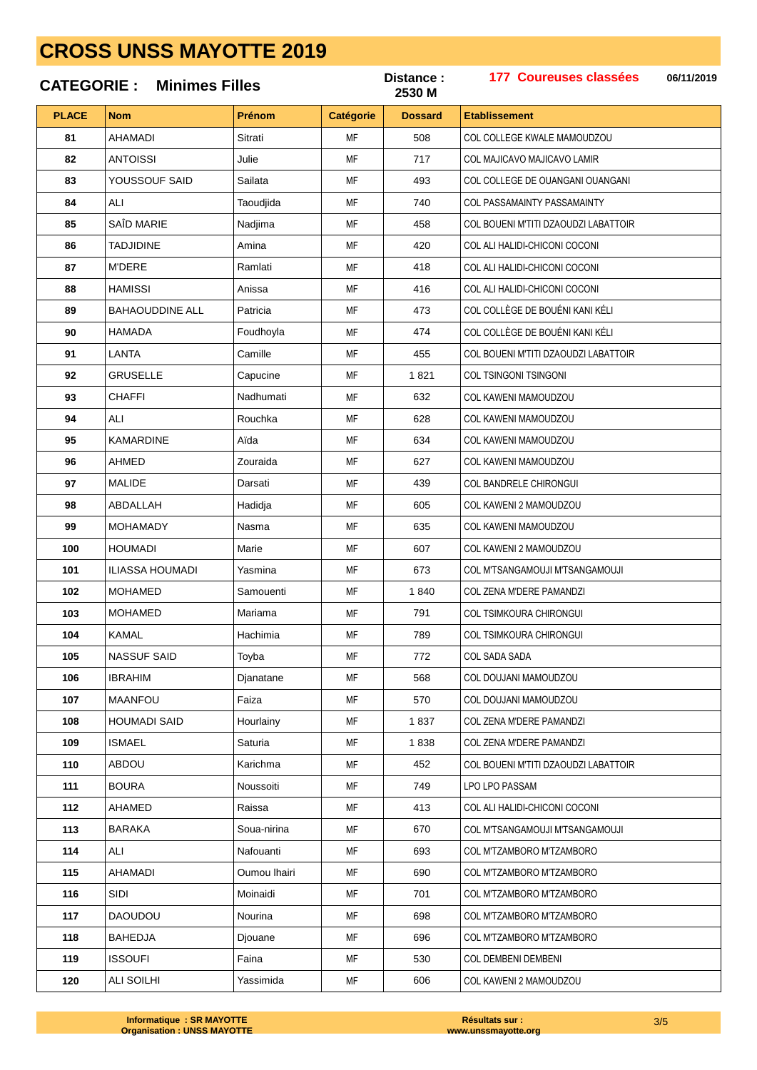| <b>CATEGORIE:</b><br><b>Minimes Filles</b> |                        |              |           | Distance :<br>2530 M | 177 Coureuses classées<br>06/11/2019 |
|--------------------------------------------|------------------------|--------------|-----------|----------------------|--------------------------------------|
| <b>PLACE</b>                               | <b>Nom</b>             | Prénom       | Catégorie | <b>Dossard</b>       | <b>Etablissement</b>                 |
| 81                                         | AHAMADI                | Sitrati      | MF        | 508                  | COL COLLEGE KWALE MAMOUDZOU          |
| 82                                         | ANTOISSI               | Julie        | <b>MF</b> | 717                  | COL MAJICAVO MAJICAVO LAMIR          |
| 83                                         | YOUSSOUF SAID          | Sailata      | MF        | 493                  | COL COLLEGE DE OUANGANI OUANGANI     |
| 84                                         | ALI                    | Taoudjida    | MF        | 740                  | <b>COL PASSAMAINTY PASSAMAINTY</b>   |
| 85                                         | SAÎD MARIE             | Nadjima      | MF        | 458                  | COL BOUENI M'TITI DZAOUDZI LABATTOIR |
| 86                                         | <b>TADJIDINE</b>       | Amina        | MF        | 420                  | COL ALI HALIDI-CHICONI COCONI        |
| 87                                         | <b>M'DERE</b>          | Ramlati      | MF        | 418                  | COL ALI HALIDI-CHICONI COCONI        |
| 88                                         | HAMISSI                | Anissa       | MF        | 416                  | COL ALI HALIDI-CHICONI COCONI        |
| 89                                         | <b>BAHAOUDDINE ALL</b> | Patricia     | MF        | 473                  | COL COLLÈGE DE BOUÉNI KANI KÉLI      |
| 90                                         | HAMADA                 | Foudhoyla    | MF        | 474                  | COL COLLÈGE DE BOUÉNI KANI KÉLI      |
| 91                                         | LANTA                  | Camille      | MF        | 455                  | COL BOUENI M'TITI DZAOUDZI LABATTOIR |
| 92                                         | <b>GRUSELLE</b>        | Capucine     | MF        | 1821                 | <b>COL TSINGONI TSINGONI</b>         |
| 93                                         | CHAFFI                 | Nadhumati    | MF        | 632                  | COL KAWENI MAMOUDZOU                 |
| 94                                         | ALI                    | Rouchka      | MF        | 628                  | COL KAWENI MAMOUDZOU                 |
| 95                                         | <b>KAMARDINE</b>       | Aïda         | MF        | 634                  | COL KAWENI MAMOUDZOU                 |
| 96                                         | AHMED                  | Zouraida     | MF        | 627                  | <b>COL KAWENI MAMOUDZOU</b>          |
| 97                                         | MALIDE                 | Darsati      | MF        | 439                  | COL BANDRELE CHIRONGUI               |
| 98                                         | ABDALLAH               | Hadidja      | MF        | 605                  | COL KAWENI 2 MAMOUDZOU               |
| 99                                         | MOHAMADY               | Nasma        | MF        | 635                  | COL KAWENI MAMOUDZOU                 |
| 100                                        | <b>HOUMADI</b>         | Marie        | MF        | 607                  | COL KAWENI 2 MAMOUDZOU               |
| 101                                        | ILIASSA HOUMADI        | Yasmina      | MF        | 673                  | COL M'TSANGAMOUJI M'TSANGAMOUJI      |
| 102                                        | <b>MOHAMED</b>         | Samouenti    | MF        | 1840                 | <b>COL ZENA M'DERE PAMANDZI</b>      |
| 103                                        | <b>MOHAMED</b>         | Mariama      | MF        | 791                  | <b>COL TSIMKOURA CHIRONGUI</b>       |
| 104                                        | KAMAL                  | Hachimia     | MF        | 789                  | COL TSIMKOURA CHIRONGUI              |
| 105                                        | <b>NASSUF SAID</b>     | Toyba        | MF        | 772                  | <b>COL SADA SADA</b>                 |
| 106                                        | <b>IBRAHIM</b>         | Djanatane    | MF        | 568                  | COL DOUJANI MAMOUDZOU                |
| 107                                        | <b>MAANFOU</b>         | Faiza        | MF        | 570                  | COL DOUJANI MAMOUDZOU                |
| 108                                        | <b>HOUMADI SAID</b>    | Hourlainy    | MF        | 1837                 | <b>COL ZENA M'DERE PAMANDZI</b>      |
| 109                                        | <b>ISMAEL</b>          | Saturia      | MF        | 1838                 | COL ZENA M'DERE PAMANDZI             |
| 110                                        | ABDOU                  | Karichma     | MF        | 452                  | COL BOUENI M'TITI DZAOUDZI LABATTOIR |
| 111                                        | <b>BOURA</b>           | Noussoiti    | MF        | 749                  | LPO LPO PASSAM                       |
| 112                                        | AHAMED                 | Raissa       | MF        | 413                  | COL ALI HALIDI-CHICONI COCONI        |
| 113                                        | <b>BARAKA</b>          | Soua-nirina  | MF        | 670                  | COL M'TSANGAMOUJI M'TSANGAMOUJI      |
| 114                                        | ALI                    | Nafouanti    | MF        | 693                  | COL M'TZAMBORO M'TZAMBORO            |
| 115                                        | AHAMADI                | Oumou Ihairi | MF        | 690                  | COL M'TZAMBORO M'TZAMBORO            |
| 116                                        | SIDI                   | Moinaidi     | MF        | 701                  | COL M'TZAMBORO M'TZAMBORO            |
| 117                                        | DAOUDOU                | Nourina      | MF        | 698                  | COL M'TZAMBORO M'TZAMBORO            |
| 118                                        | <b>BAHEDJA</b>         | Djouane      | MF        | 696                  | COL M'TZAMBORO M'TZAMBORO            |
| 119                                        | <b>ISSOUFI</b>         | Faina        | MF        | 530                  | <b>COL DEMBENI DEMBENI</b>           |
| 120                                        | ALI SOILHI             | Yassimida    | MF        | 606                  | COL KAWENI 2 MAMOUDZOU               |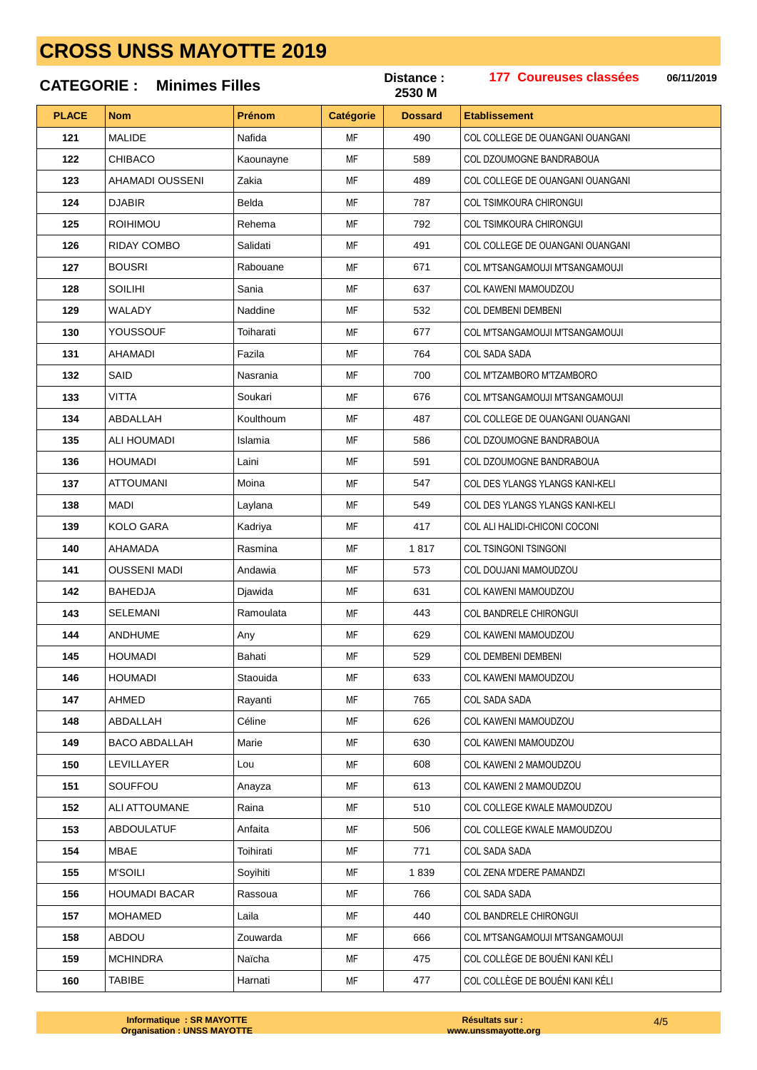### 177 Coureuses classées Distance: 06/11/2019 **CATEGORIE: Minimes Filles** 2530 M **PLACE** Prénom **Nom** Catégorie **Dossard Etablissement** MALIDE Nofido  $100$ 121 MF COL COLLEGE DE OUANGANI OUANGANI CHIBACO 122 Kaounayne MF 589 COL DZOUMOGNE BANDRABOUA 123 AHAMADI OUSSENI Zakia MF 489 COL COLLEGE DE OUANGANI OUANGANI 787 124 **DJABIR Relda MF** COL TSIMKOURA CHIRONGUI 125 **ROIHIMOU** Rehema MF 792 **COL TSIMKOURA CHIRONGUI** 126 **RIDAY COMBO** Salidati **MF** 491 COL COLLEGE DE OUANGANI OUANGANI **BOUSRI** Rabouane 671 127 **MF** COL M'TSANGAMOUJI M'TSANGAMOUJI **SOILIHI MF** 128 Sanja 637 COL KAWENI MAMOLIDZOLI 129 WALADY Naddine **MF** 532 COL DEMBENI DEMBENI 130 YOUSSOUF Toiharati **MF** 677 COL M'TSANGAMOUJI M'TSANGAMOUJI 131 **AHAMADI** Fazila **MF** 764 **COL SADA SADA** 132 SAID Nasrania **MF** 700 COL M'TZAMBORO M'TZAMBORO 133 **VITTA** MF Soukari 676 COL M'TSANGAMOUJI M'TSANGAMOUJI 134 ABDAI LAH Koulthoum MF 487 COL COLLEGE DE OUANGANI OUANGANI 135 **ALI HOUMADI MF** Islamia 586 COL DZOUMOGNE BANDRABOUA **HOUMADI** 136 Laini MF 591 COL DZOUMOGNE BANDRABOUA **ATTOLIMANI** 137 Moina MF 547 COL DES YLANGS YLANGS KANLKELL 138 **MADI** Laylana **MF** 549 COL DES YLANGS YLANGS KANI-KELI 139 **KOLO GARA** Kadriya MF 417 COL ALI HALIDI-CHICONI COCONI AHAMADA 140 Rasmina **MF** 1817 COL TSINGONI TSINGONI 141 **OUSSENI MADI** Andawia **MF** 573 COL DOUJANI MAMOUDZOU 142 **BAHEDJA** MF 631 COL KAWENI MAMOUDZOU Diawida 143 SELEMANI Ramoulata MF 443 COL BANDRELE CHIRONGUI 144 ANDHUME **MF** 629 COL KAWENI MAMOUDZOU Any 145 **HOUMADI Bahati MF** 529 COL DEMBENI DEMBENI 146 **HOUMADI** COL KAWENI MAMOUDZOU Stanuida MF 633  $147$ **AHMED** Ravanti **MF** 765 **COL SADA SADA** 148 ABDALLAH **MF** 626 COL KAWENI MAMOUDZOU Céline 149 **BACO ABDALLAH MF** 630 COL KAWENI MAMOUDZOU Marie 150 **I FVILLAYER** MF 608 COL KAWENI 2 MAMOUDZOU  $\overline{1}$   $\overline{0}$ 151 SOUFFOU MF 613 COL KAWENI 2 MAMOUDZOU Anayza 152 **ALI ATTOUMANE** Raina MF 510 COL COLLEGE KWALE MAMOUDZOU 153 ARDOLIL ATLIF 506 COL COLLEGE KWALE MAMOUDZOU Anfaita MF **MBAF** 154 Toihirati MF 771 COL SADA SADA 155 **M'SOILI** Soyihiti MF 1839 COL ZENA M'DERE PAMANDZI **HOUMADI BACAR** 156 Rassoua **MF** 766 COL SADA SADA 157 **MOHAMED** Laila MF 440 COL BANDRELE CHIRONGUI 158 ABDOU Zouwarda **MF** 666 COL M'TSANGAMOUJI M'TSANGAMOUJI **MCHINDRA** 159 Naïcha **MF** 475 COL COLLÈGE DE BOUÉNI KANI KÉLI

Harnati

**MF** 

477

160

**TABIBE** 

COL COLLÈGE DE BOUÉNI KANI KÉLI